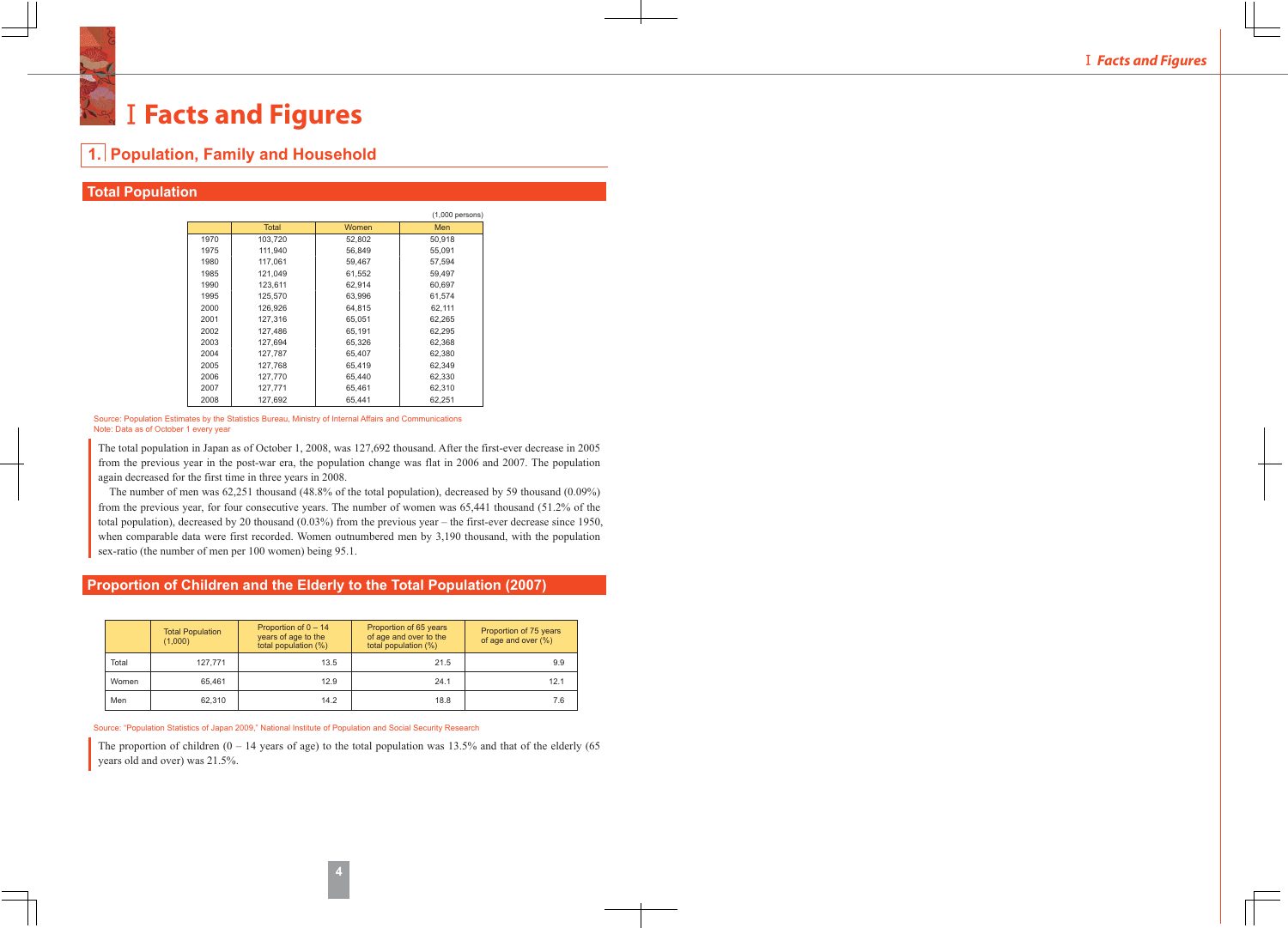# **I Facts and Figures**

**1. Population, Family and Household** Total | Women | Men 1970 1975 1980 1985 1990 1995 2000 2001 2002 2003 103,720 111,940 117,061 121,049 123,611 125,570 126,926 127,316 127,486 127,694 52,802 56,849 59,467 61,552 62,914 63,996 64,815 65,051 65,191 65,326 50,918 55,091 57,594 59,497 60,697 61,574 62,111 62,265 62,295 62,368 (1,000 persons)

## **Total Population**

|                                       | Source: Population Estimates by the Statistics Bureau, Ministry of Internal Affairs and Communications |
|---------------------------------------|--------------------------------------------------------------------------------------------------------|
| Note: Data as of October 1 every year |                                                                                                        |

127,787 127,768 127,770 127,771 127,692

The total population in Japan as of October 1, 2008, was 127,692 thousand. After the first-ever decrease in 2005 from the previous year in the post-war era, the population change was flat in 2006 and 2007. The population again decreased for the first time in three years in 2008.

65,407 65,419 65,440 65,461 65,441

62,380 62,349 62,330 62,310 62,251

The number of men was 62,251 thousand (48.8% of the total population), decreased by 59 thousand (0.09%) from the previous year, for four consecutive years. The number of women was 65,441 thousand (51.2% of the total population), decreased by 20 thousand (0.03%) from the previous year – the first-ever decrease since 1950, when comparable data were first recorded. Women outnumbered men by 3,190 thousand, with the population sex-ratio (the number of men per 100 women) being 95.1.

## **Proportion of Children and the Elderly to the Total Population (2007)**

|       | <b>Total Population</b><br>(1,000) | Proportion of $0 - 14$<br>years of age to the<br>total population (%) | Proportion of 65 years<br>of age and over to the<br>total population (%) | Proportion of 75 years<br>of age and over $(\%)$ |  |
|-------|------------------------------------|-----------------------------------------------------------------------|--------------------------------------------------------------------------|--------------------------------------------------|--|
| Total | 127.771                            | 13.5                                                                  | 21.5                                                                     | 9.9                                              |  |
| Women | 65.461                             | 12.9                                                                  | 24.1                                                                     | 12.1                                             |  |
| Men   | 62.310                             | 14.2                                                                  | 18.8                                                                     | 7.6                                              |  |

Source: "Population Statistics of Japan 2009," National Institute of Population and Social Security Research

The proportion of children  $(0 - 14$  years of age) to the total population was 13.5% and that of the elderly  $(65$ years old and over) was 21.5%.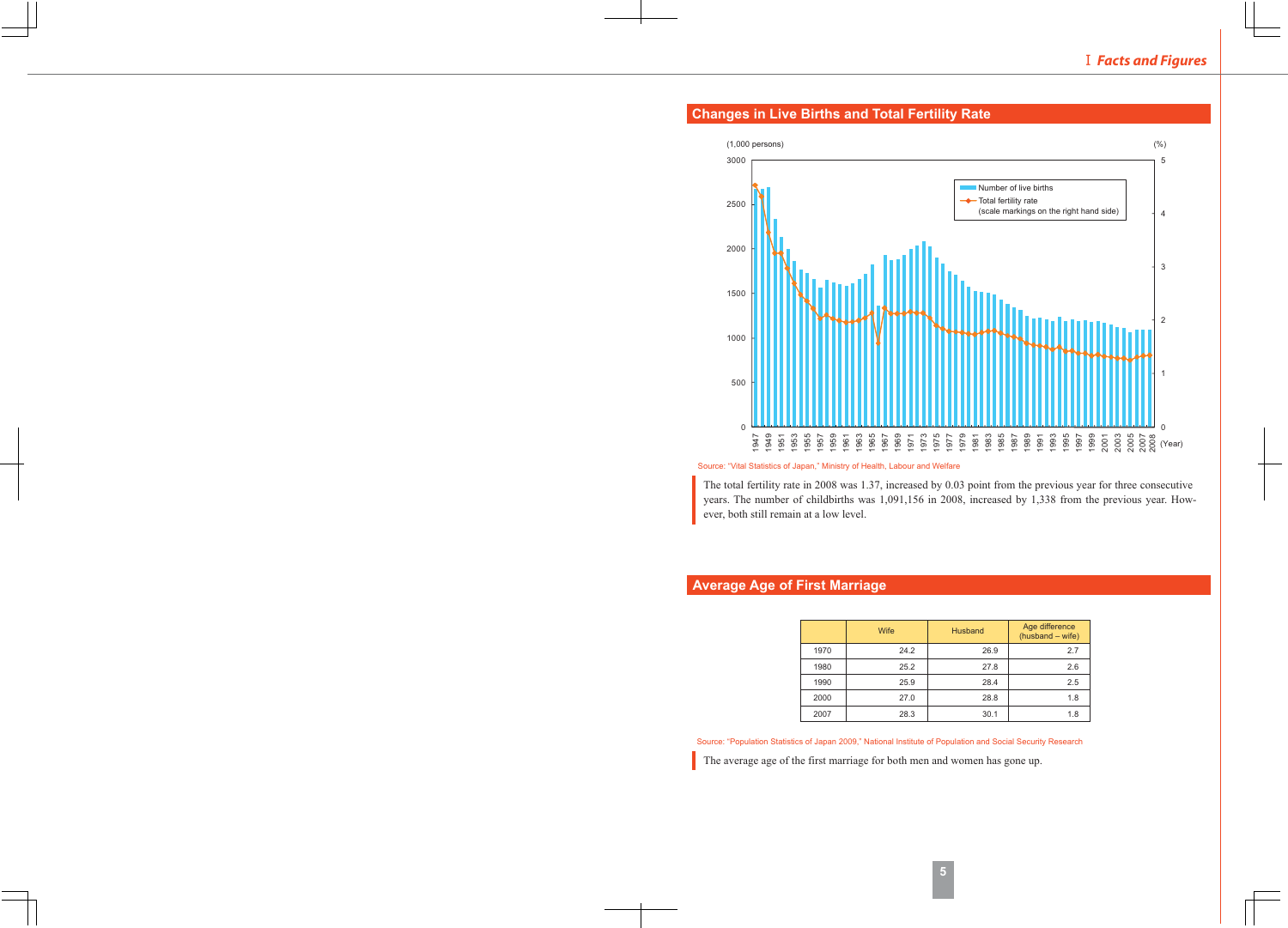

## **Changes in Live Births and Total Fertility Rate**

Source: "Vital Statistics of Japan," Ministry of Health, Labour and Welfare

The total fertility rate in 2008 was 1.37, increased by 0.03 point from the previous year for three consecutive years. The number of childbirths was 1,091,156 in 2008, increased by 1,338 from the previous year. However, both still remain at a low level.

## **Average Age of First Marriage**

|      | Wife | <b>Husband</b> | Age difference<br>$(hushand - wife)$ |
|------|------|----------------|--------------------------------------|
| 1970 | 24.2 | 26.9           | 2.7                                  |
| 1980 | 25.2 | 27.8           | 2.6                                  |
| 1990 | 25.9 | 28.4           | 2.5                                  |
| 2000 | 27.0 | 28.8           | 1.8                                  |
| 2007 | 28.3 | 30.1           | 1.8                                  |

Source: "Population Statistics of Japan 2009," National Institute of Population and Social Security Research

The average age of the first marriage for both men and women has gone up.